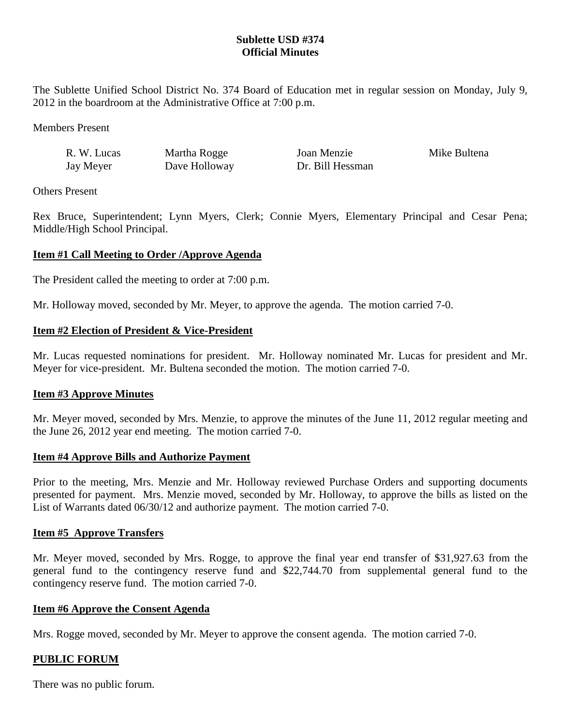# **Sublette USD #374 Official Minutes**

The Sublette Unified School District No. 374 Board of Education met in regular session on Monday, July 9, 2012 in the boardroom at the Administrative Office at 7:00 p.m.

Members Present

| R. W. Lucas | Martha Rogge  | Joan Menzie      | Mike Bultena |
|-------------|---------------|------------------|--------------|
| Jay Meyer   | Dave Holloway | Dr. Bill Hessman |              |

Others Present

Rex Bruce, Superintendent; Lynn Myers, Clerk; Connie Myers, Elementary Principal and Cesar Pena; Middle/High School Principal.

### **Item #1 Call Meeting to Order /Approve Agenda**

The President called the meeting to order at 7:00 p.m.

Mr. Holloway moved, seconded by Mr. Meyer, to approve the agenda. The motion carried 7-0.

### **Item #2 Election of President & Vice-President**

Mr. Lucas requested nominations for president. Mr. Holloway nominated Mr. Lucas for president and Mr. Meyer for vice-president. Mr. Bultena seconded the motion. The motion carried 7-0.

#### **Item #3 Approve Minutes**

Mr. Meyer moved, seconded by Mrs. Menzie, to approve the minutes of the June 11, 2012 regular meeting and the June 26, 2012 year end meeting. The motion carried 7-0.

#### **Item #4 Approve Bills and Authorize Payment**

Prior to the meeting, Mrs. Menzie and Mr. Holloway reviewed Purchase Orders and supporting documents presented for payment. Mrs. Menzie moved, seconded by Mr. Holloway, to approve the bills as listed on the List of Warrants dated 06/30/12 and authorize payment. The motion carried 7-0.

#### **Item #5 Approve Transfers**

Mr. Meyer moved, seconded by Mrs. Rogge, to approve the final year end transfer of \$31,927.63 from the general fund to the contingency reserve fund and \$22,744.70 from supplemental general fund to the contingency reserve fund. The motion carried 7-0.

#### **Item #6 Approve the Consent Agenda**

Mrs. Rogge moved, seconded by Mr. Meyer to approve the consent agenda. The motion carried 7-0.

# **PUBLIC FORUM**

There was no public forum.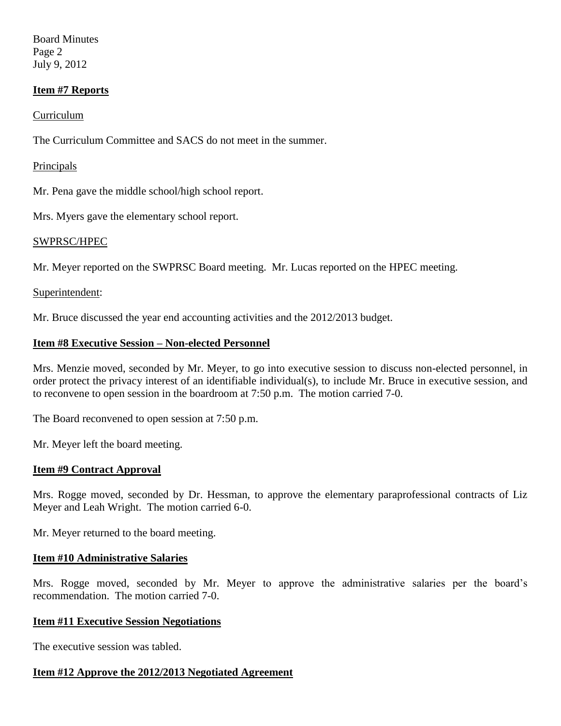Board Minutes Page 2 July 9, 2012

# **Item #7 Reports**

## Curriculum

The Curriculum Committee and SACS do not meet in the summer.

### Principals

Mr. Pena gave the middle school/high school report.

Mrs. Myers gave the elementary school report.

### SWPRSC/HPEC

Mr. Meyer reported on the SWPRSC Board meeting. Mr. Lucas reported on the HPEC meeting.

### Superintendent:

Mr. Bruce discussed the year end accounting activities and the 2012/2013 budget.

### **Item #8 Executive Session – Non-elected Personnel**

Mrs. Menzie moved, seconded by Mr. Meyer, to go into executive session to discuss non-elected personnel, in order protect the privacy interest of an identifiable individual(s), to include Mr. Bruce in executive session, and to reconvene to open session in the boardroom at 7:50 p.m. The motion carried 7-0.

The Board reconvened to open session at 7:50 p.m.

Mr. Meyer left the board meeting.

#### **Item #9 Contract Approval**

Mrs. Rogge moved, seconded by Dr. Hessman, to approve the elementary paraprofessional contracts of Liz Meyer and Leah Wright. The motion carried 6-0.

Mr. Meyer returned to the board meeting.

#### **Item #10 Administrative Salaries**

Mrs. Rogge moved, seconded by Mr. Meyer to approve the administrative salaries per the board's recommendation. The motion carried 7-0.

#### **Item #11 Executive Session Negotiations**

The executive session was tabled.

#### **Item #12 Approve the 2012/2013 Negotiated Agreement**